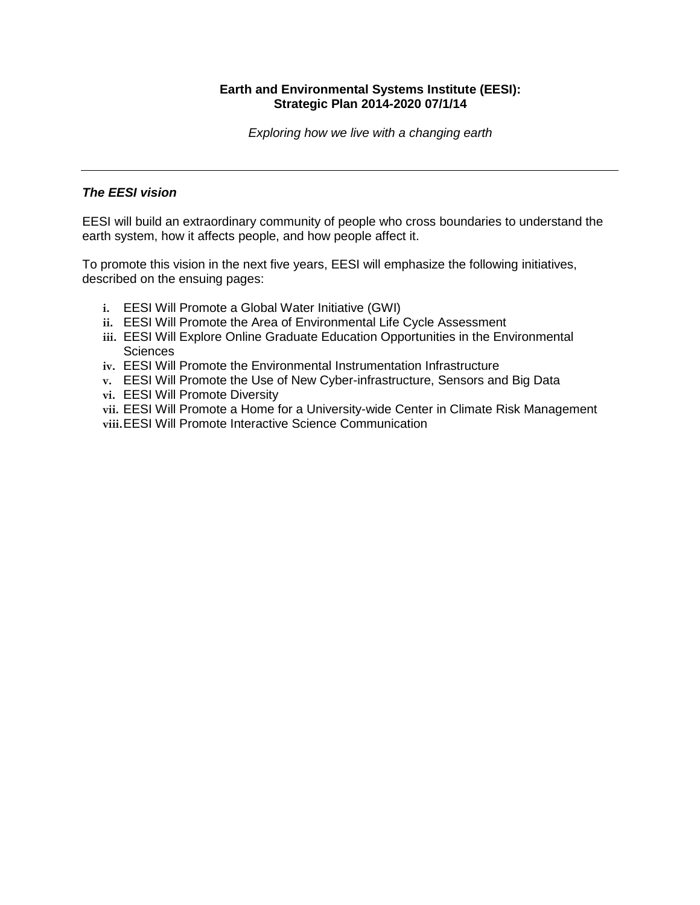# **Earth and Environmental Systems Institute (EESI): Strategic Plan 2014-2020 07/1/14**

*Exploring how we live with a changing earth*

# *The EESI vision*

EESI will build an extraordinary community of people who cross boundaries to understand the earth system, how it affects people, and how people affect it.

To promote this vision in the next five years, EESI will emphasize the following initiatives, described on the ensuing pages:

- **i.** EESI Will Promote a Global Water Initiative (GWI)
- **ii.** EESI Will Promote the Area of Environmental Life Cycle Assessment
- **iii.** EESI Will Explore Online Graduate Education Opportunities in the Environmental **Sciences**
- **iv.** EESI Will Promote the Environmental Instrumentation Infrastructure
- **v.** EESI Will Promote the Use of New Cyber-infrastructure, Sensors and Big Data
- **vi.** EESI Will Promote Diversity
- **vii.** EESI Will Promote a Home for a University-wide Center in Climate Risk Management
- **viii.**EESI Will Promote Interactive Science Communication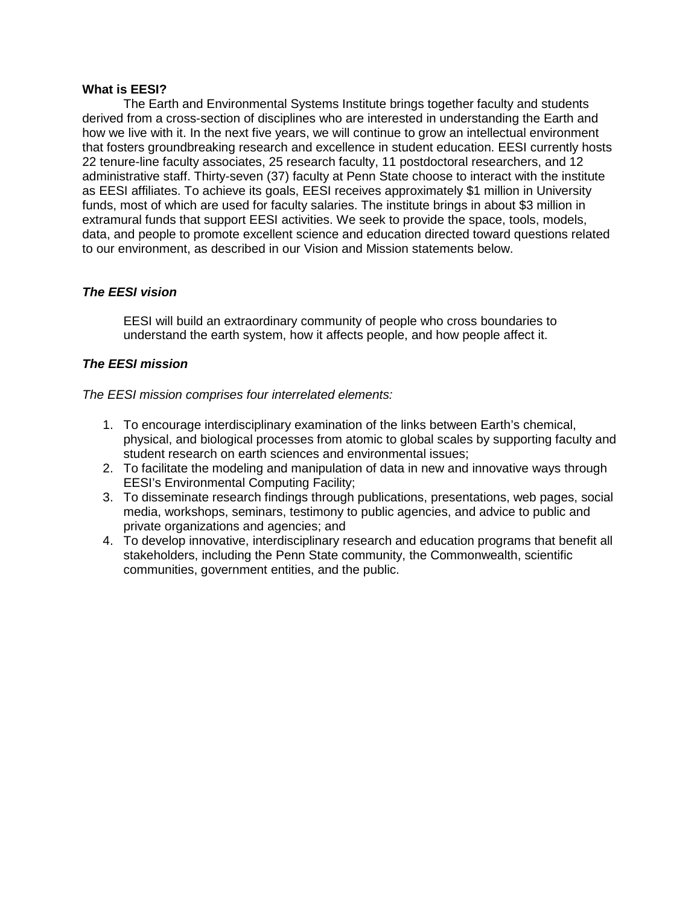### **What is EESI?**

The Earth and Environmental Systems Institute brings together faculty and students derived from a cross-section of disciplines who are interested in understanding the Earth and how we live with it. In the next five years, we will continue to grow an intellectual environment that fosters groundbreaking research and excellence in student education. EESI currently hosts 22 tenure-line faculty associates, 25 research faculty, 11 postdoctoral researchers, and 12 administrative staff. Thirty-seven (37) faculty at Penn State choose to interact with the institute as EESI affiliates. To achieve its goals, EESI receives approximately \$1 million in University funds, most of which are used for faculty salaries. The institute brings in about \$3 million in extramural funds that support EESI activities. We seek to provide the space, tools, models, data, and people to promote excellent science and education directed toward questions related to our environment, as described in our Vision and Mission statements below.

## *The EESI vision*

EESI will build an extraordinary community of people who cross boundaries to understand the earth system, how it affects people, and how people affect it.

# *The EESI mission*

*The EESI mission comprises four interrelated elements:*

- 1. To encourage interdisciplinary examination of the links between Earth's chemical, physical, and biological processes from atomic to global scales by supporting faculty and student research on earth sciences and environmental issues;
- 2. To facilitate the modeling and manipulation of data in new and innovative ways through EESI's Environmental Computing Facility;
- 3. To disseminate research findings through publications, presentations, web pages, social media, workshops, seminars, testimony to public agencies, and advice to public and private organizations and agencies; and
- 4. To develop innovative, interdisciplinary research and education programs that benefit all stakeholders, including the Penn State community, the Commonwealth, scientific communities, government entities, and the public.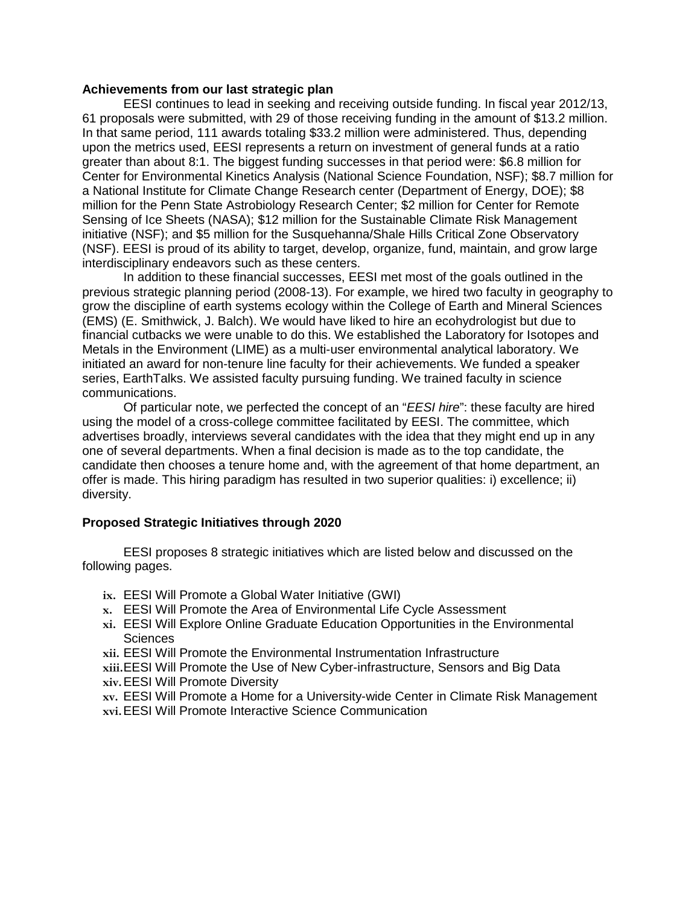#### **Achievements from our last strategic plan**

EESI continues to lead in seeking and receiving outside funding. In fiscal year 2012/13, 61 proposals were submitted, with 29 of those receiving funding in the amount of \$13.2 million. In that same period, 111 awards totaling \$33.2 million were administered. Thus, depending upon the metrics used, EESI represents a return on investment of general funds at a ratio greater than about 8:1. The biggest funding successes in that period were: \$6.8 million for Center for Environmental Kinetics Analysis (National Science Foundation, NSF); \$8.7 million for a National Institute for Climate Change Research center (Department of Energy, DOE); \$8 million for the Penn State Astrobiology Research Center; \$2 million for Center for Remote Sensing of Ice Sheets (NASA); \$12 million for the Sustainable Climate Risk Management initiative (NSF); and \$5 million for the Susquehanna/Shale Hills Critical Zone Observatory (NSF). EESI is proud of its ability to target, develop, organize, fund, maintain, and grow large interdisciplinary endeavors such as these centers.

In addition to these financial successes, EESI met most of the goals outlined in the previous strategic planning period (2008-13). For example, we hired two faculty in geography to grow the discipline of earth systems ecology within the College of Earth and Mineral Sciences (EMS) (E. Smithwick, J. Balch). We would have liked to hire an ecohydrologist but due to financial cutbacks we were unable to do this. We established the Laboratory for Isotopes and Metals in the Environment (LIME) as a multi-user environmental analytical laboratory. We initiated an award for non-tenure line faculty for their achievements. We funded a speaker series, EarthTalks. We assisted faculty pursuing funding. We trained faculty in science communications.

Of particular note, we perfected the concept of an "*EESI hire*": these faculty are hired using the model of a cross-college committee facilitated by EESI. The committee, which advertises broadly, interviews several candidates with the idea that they might end up in any one of several departments. When a final decision is made as to the top candidate, the candidate then chooses a tenure home and, with the agreement of that home department, an offer is made. This hiring paradigm has resulted in two superior qualities: i) excellence; ii) diversity.

### **Proposed Strategic Initiatives through 2020**

EESI proposes 8 strategic initiatives which are listed below and discussed on the following pages.

- **ix.** EESI Will Promote a Global Water Initiative (GWI)
- **x.** EESI Will Promote the Area of Environmental Life Cycle Assessment
- **xi.** EESI Will Explore Online Graduate Education Opportunities in the Environmental **Sciences**
- **xii.** EESI Will Promote the Environmental Instrumentation Infrastructure
- **xiii.**EESI Will Promote the Use of New Cyber-infrastructure, Sensors and Big Data
- **xiv.**EESI Will Promote Diversity
- **xv.** EESI Will Promote a Home for a University-wide Center in Climate Risk Management
- **xvi.**EESI Will Promote Interactive Science Communication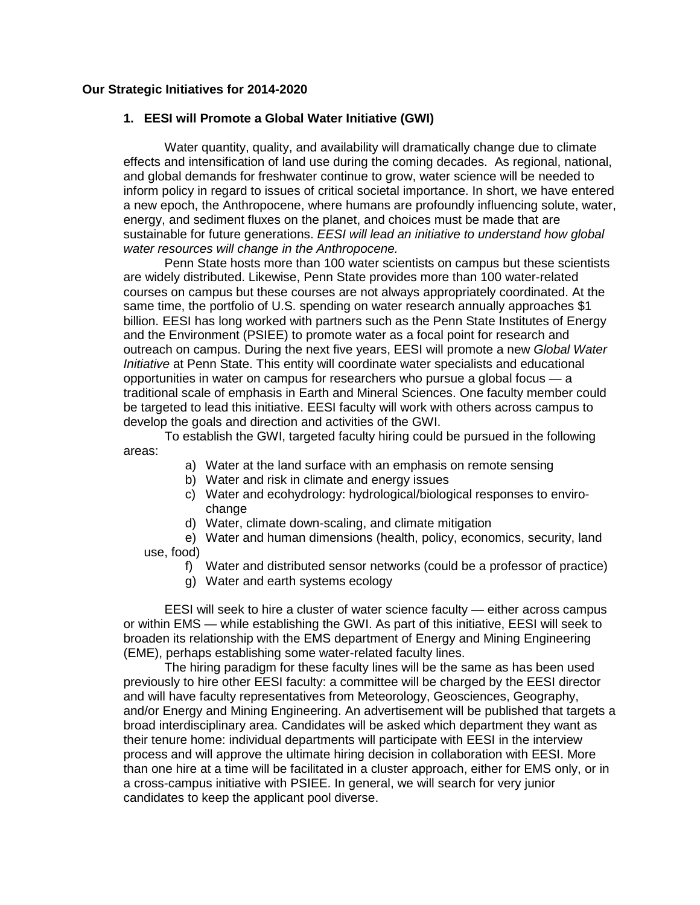### **Our Strategic Initiatives for 2014-2020**

#### **1. EESI will Promote a Global Water Initiative (GWI)**

Water quantity, quality, and availability will dramatically change due to climate effects and intensification of land use during the coming decades. As regional, national, and global demands for freshwater continue to grow, water science will be needed to inform policy in regard to issues of critical societal importance. In short, we have entered a new epoch, the Anthropocene, where humans are profoundly influencing solute, water, energy, and sediment fluxes on the planet, and choices must be made that are sustainable for future generations. *EESI will lead an initiative to understand how global water resources will change in the Anthropocene.* 

Penn State hosts more than 100 water scientists on campus but these scientists are widely distributed. Likewise, Penn State provides more than 100 water-related courses on campus but these courses are not always appropriately coordinated. At the same time, the portfolio of U.S. spending on water research annually approaches \$1 billion. EESI has long worked with partners such as the Penn State Institutes of Energy and the Environment (PSIEE) to promote water as a focal point for research and outreach on campus. During the next five years, EESI will promote a new *Global Water Initiative* at Penn State. This entity will coordinate water specialists and educational opportunities in water on campus for researchers who pursue a global focus — a traditional scale of emphasis in Earth and Mineral Sciences. One faculty member could be targeted to lead this initiative. EESI faculty will work with others across campus to develop the goals and direction and activities of the GWI.

To establish the GWI, targeted faculty hiring could be pursued in the following areas:

- a) Water at the land surface with an emphasis on remote sensing
- b) Water and risk in climate and energy issues
- c) Water and ecohydrology: hydrological/biological responses to envirochange
- d) Water, climate down-scaling, and climate mitigation

e) Water and human dimensions (health, policy, economics, security, land use, food)

- f) Water and distributed sensor networks (could be a professor of practice)
- g) Water and earth systems ecology

EESI will seek to hire a cluster of water science faculty — either across campus or within EMS — while establishing the GWI. As part of this initiative, EESI will seek to broaden its relationship with the EMS department of Energy and Mining Engineering (EME), perhaps establishing some water-related faculty lines.

The hiring paradigm for these faculty lines will be the same as has been used previously to hire other EESI faculty: a committee will be charged by the EESI director and will have faculty representatives from Meteorology, Geosciences, Geography, and/or Energy and Mining Engineering. An advertisement will be published that targets a broad interdisciplinary area. Candidates will be asked which department they want as their tenure home: individual departments will participate with EESI in the interview process and will approve the ultimate hiring decision in collaboration with EESI. More than one hire at a time will be facilitated in a cluster approach, either for EMS only, or in a cross-campus initiative with PSIEE. In general, we will search for very junior candidates to keep the applicant pool diverse.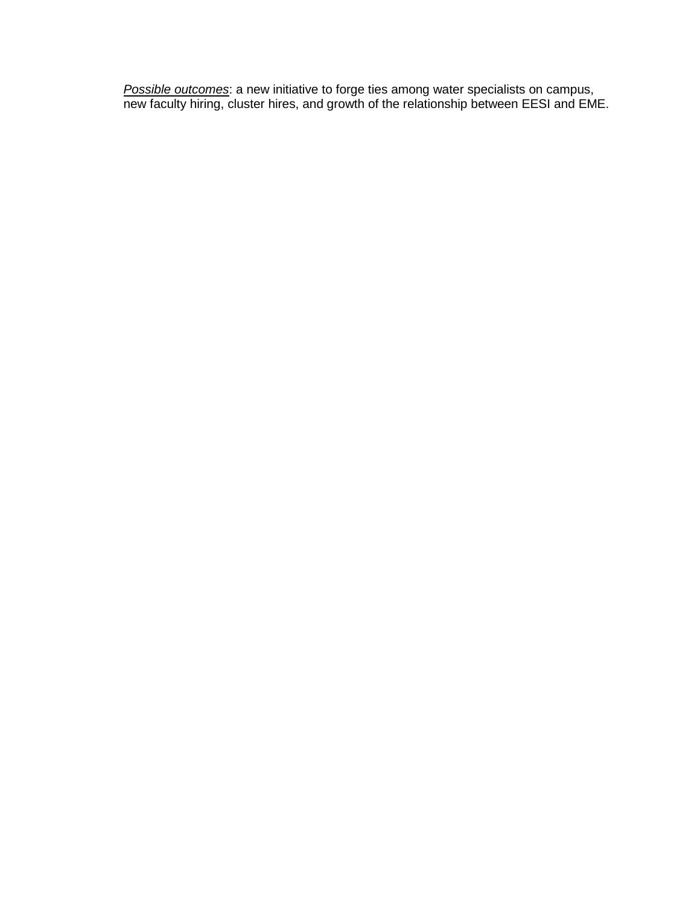*Possible outcomes*: a new initiative to forge ties among water specialists on campus, new faculty hiring, cluster hires, and growth of the relationship between EESI and EME.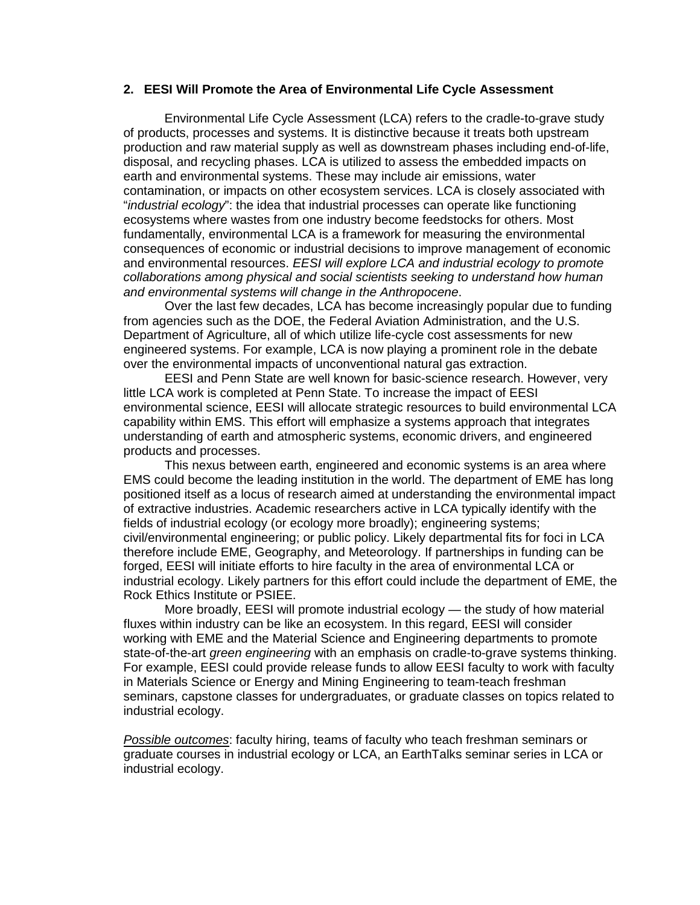#### **2. EESI Will Promote the Area of Environmental Life Cycle Assessment**

Environmental Life Cycle Assessment (LCA) refers to the cradle-to-grave study of products, processes and systems. It is distinctive because it treats both upstream production and raw material supply as well as downstream phases including end-of-life, disposal, and recycling phases. LCA is utilized to assess the embedded impacts on earth and environmental systems. These may include air emissions, water contamination, or impacts on other ecosystem services. LCA is closely associated with "*industrial ecology*": the idea that industrial processes can operate like functioning ecosystems where wastes from one industry become feedstocks for others. Most fundamentally, environmental LCA is a framework for measuring the environmental consequences of economic or industrial decisions to improve management of economic and environmental resources. *EESI will explore LCA and industrial ecology to promote collaborations among physical and social scientists seeking to understand how human and environmental systems will change in the Anthropocene*.

Over the last few decades, LCA has become increasingly popular due to funding from agencies such as the DOE, the Federal Aviation Administration, and the U.S. Department of Agriculture, all of which utilize life-cycle cost assessments for new engineered systems. For example, LCA is now playing a prominent role in the debate over the environmental impacts of unconventional natural gas extraction.

EESI and Penn State are well known for basic-science research. However, very little LCA work is completed at Penn State. To increase the impact of EESI environmental science, EESI will allocate strategic resources to build environmental LCA capability within EMS. This effort will emphasize a systems approach that integrates understanding of earth and atmospheric systems, economic drivers, and engineered products and processes.

This nexus between earth, engineered and economic systems is an area where EMS could become the leading institution in the world. The department of EME has long positioned itself as a locus of research aimed at understanding the environmental impact of extractive industries. Academic researchers active in LCA typically identify with the fields of industrial ecology (or ecology more broadly); engineering systems; civil/environmental engineering; or public policy. Likely departmental fits for foci in LCA therefore include EME, Geography, and Meteorology. If partnerships in funding can be forged, EESI will initiate efforts to hire faculty in the area of environmental LCA or industrial ecology. Likely partners for this effort could include the department of EME, the Rock Ethics Institute or PSIEE.

More broadly, EESI will promote industrial ecology — the study of how material fluxes within industry can be like an ecosystem. In this regard, EESI will consider working with EME and the Material Science and Engineering departments to promote state-of-the-art *green engineering* with an emphasis on cradle-to-grave systems thinking. For example, EESI could provide release funds to allow EESI faculty to work with faculty in Materials Science or Energy and Mining Engineering to team-teach freshman seminars, capstone classes for undergraduates, or graduate classes on topics related to industrial ecology.

*Possible outcomes*: faculty hiring, teams of faculty who teach freshman seminars or graduate courses in industrial ecology or LCA, an EarthTalks seminar series in LCA or industrial ecology.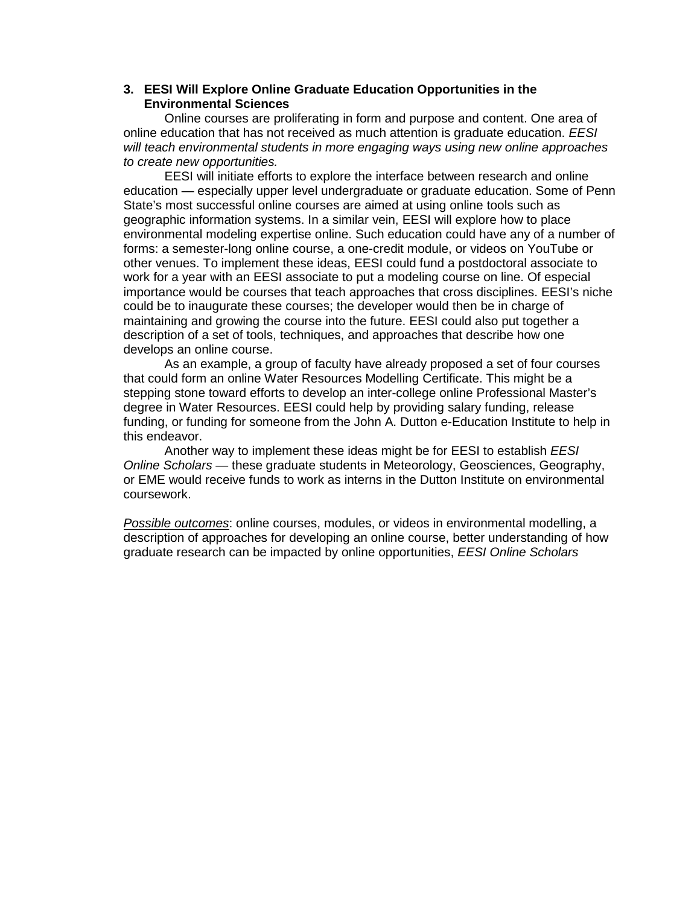# **3. EESI Will Explore Online Graduate Education Opportunities in the Environmental Sciences**

Online courses are proliferating in form and purpose and content. One area of online education that has not received as much attention is graduate education. *EESI will teach environmental students in more engaging ways using new online approaches to create new opportunities.*

EESI will initiate efforts to explore the interface between research and online education — especially upper level undergraduate or graduate education. Some of Penn State's most successful online courses are aimed at using online tools such as geographic information systems. In a similar vein, EESI will explore how to place environmental modeling expertise online. Such education could have any of a number of forms: a semester-long online course, a one-credit module, or videos on YouTube or other venues. To implement these ideas, EESI could fund a postdoctoral associate to work for a year with an EESI associate to put a modeling course on line. Of especial importance would be courses that teach approaches that cross disciplines. EESI's niche could be to inaugurate these courses; the developer would then be in charge of maintaining and growing the course into the future. EESI could also put together a description of a set of tools, techniques, and approaches that describe how one develops an online course.

As an example, a group of faculty have already proposed a set of four courses that could form an online Water Resources Modelling Certificate. This might be a stepping stone toward efforts to develop an inter-college online Professional Master's degree in Water Resources. EESI could help by providing salary funding, release funding, or funding for someone from the John A. Dutton e-Education Institute to help in this endeavor.

Another way to implement these ideas might be for EESI to establish *EESI Online Scholars* — these graduate students in Meteorology, Geosciences, Geography, or EME would receive funds to work as interns in the Dutton Institute on environmental coursework.

*Possible outcomes*: online courses, modules, or videos in environmental modelling, a description of approaches for developing an online course, better understanding of how graduate research can be impacted by online opportunities, *EESI Online Scholars*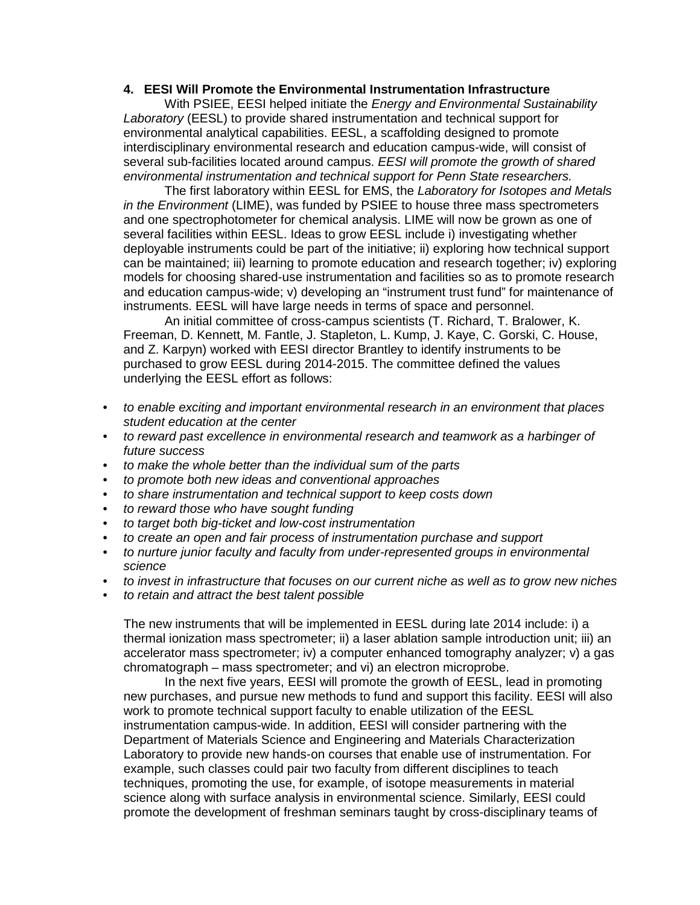### **4. EESI Will Promote the Environmental Instrumentation Infrastructure**

With PSIEE, EESI helped initiate the *Energy and Environmental Sustainability Laboratory* (EESL) to provide shared instrumentation and technical support for environmental analytical capabilities. EESL, a scaffolding designed to promote interdisciplinary environmental research and education campus-wide, will consist of several sub-facilities located around campus. *EESI will promote the growth of shared environmental instrumentation and technical support for Penn State researchers.*

The first laboratory within EESL for EMS, the *Laboratory for Isotopes and Metals in the Environment* (LIME), was funded by PSIEE to house three mass spectrometers and one spectrophotometer for chemical analysis. LIME will now be grown as one of several facilities within EESL. Ideas to grow EESL include i) investigating whether deployable instruments could be part of the initiative; ii) exploring how technical support can be maintained; iii) learning to promote education and research together; iv) exploring models for choosing shared-use instrumentation and facilities so as to promote research and education campus-wide; v) developing an "instrument trust fund" for maintenance of instruments. EESL will have large needs in terms of space and personnel.

An initial committee of cross-campus scientists (T. Richard, T. Bralower, K. Freeman, D. Kennett, M. Fantle, J. Stapleton, L. Kump, J. Kaye, C. Gorski, C. House, and Z. Karpyn) worked with EESI director Brantley to identify instruments to be purchased to grow EESL during 2014-2015. The committee defined the values underlying the EESL effort as follows:

- *to enable exciting and important environmental research in an environment that places student education at the center*
- *to reward past excellence in environmental research and teamwork as a harbinger of future success*
- *to make the whole better than the individual sum of the parts*
- *to promote both new ideas and conventional approaches*
- *to share instrumentation and technical support to keep costs down*
- *to reward those who have sought funding*
- *to target both big-ticket and low-cost instrumentation*
- *to create an open and fair process of instrumentation purchase and support*
- *to nurture junior faculty and faculty from under-represented groups in environmental science*
- *to invest in infrastructure that focuses on our current niche as well as to grow new niches*
- *to retain and attract the best talent possible*

The new instruments that will be implemented in EESL during late 2014 include: i) a thermal ionization mass spectrometer; ii) a laser ablation sample introduction unit; iii) an accelerator mass spectrometer; iv) a computer enhanced tomography analyzer; v) a gas chromatograph – mass spectrometer; and vi) an electron microprobe.

In the next five years, EESI will promote the growth of EESL, lead in promoting new purchases, and pursue new methods to fund and support this facility. EESI will also work to promote technical support faculty to enable utilization of the EESL instrumentation campus-wide. In addition, EESI will consider partnering with the Department of Materials Science and Engineering and Materials Characterization Laboratory to provide new hands-on courses that enable use of instrumentation. For example, such classes could pair two faculty from different disciplines to teach techniques, promoting the use, for example, of isotope measurements in material science along with surface analysis in environmental science. Similarly, EESI could promote the development of freshman seminars taught by cross-disciplinary teams of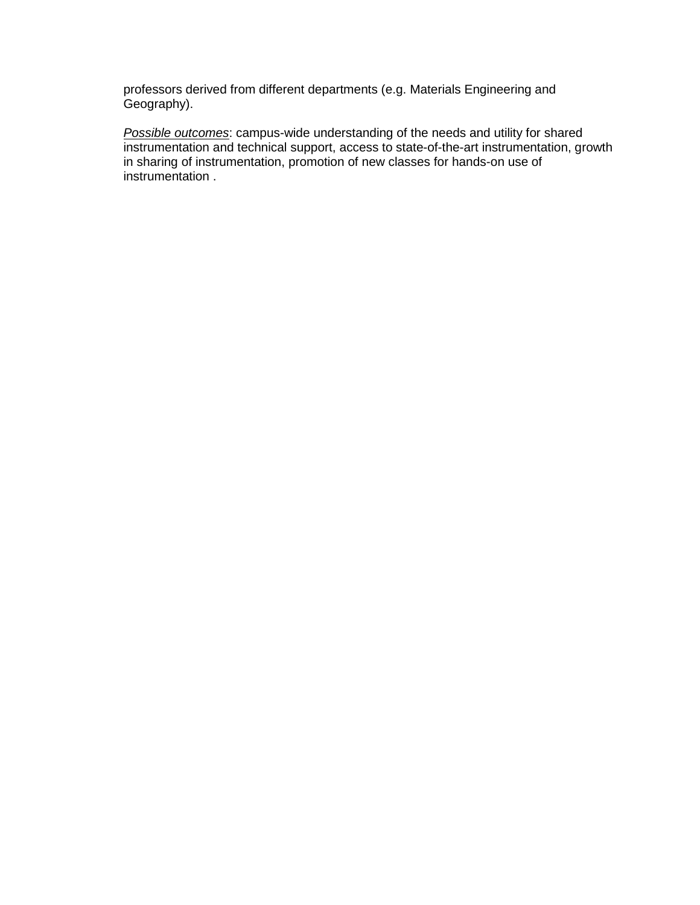professors derived from different departments (e.g. Materials Engineering and Geography).

*Possible outcomes*: campus-wide understanding of the needs and utility for shared instrumentation and technical support, access to state-of-the-art instrumentation, growth in sharing of instrumentation, promotion of new classes for hands-on use of instrumentation .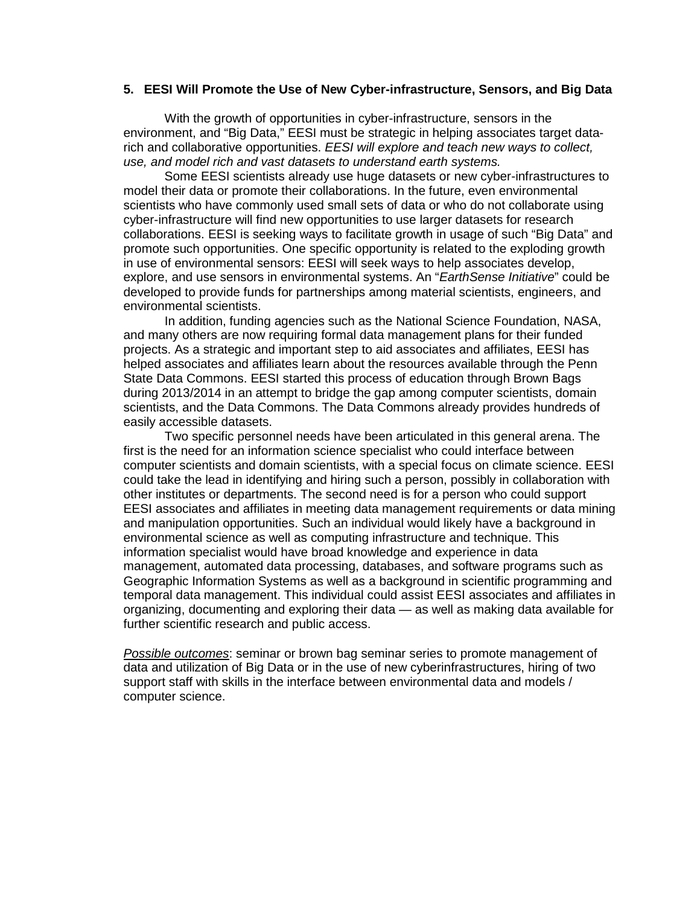### **5. EESI Will Promote the Use of New Cyber-infrastructure, Sensors, and Big Data**

With the growth of opportunities in cyber-infrastructure, sensors in the environment, and "Big Data," EESI must be strategic in helping associates target datarich and collaborative opportunities. *EESI will explore and teach new ways to collect, use, and model rich and vast datasets to understand earth systems.* 

Some EESI scientists already use huge datasets or new cyber-infrastructures to model their data or promote their collaborations. In the future, even environmental scientists who have commonly used small sets of data or who do not collaborate using cyber-infrastructure will find new opportunities to use larger datasets for research collaborations. EESI is seeking ways to facilitate growth in usage of such "Big Data" and promote such opportunities. One specific opportunity is related to the exploding growth in use of environmental sensors: EESI will seek ways to help associates develop, explore, and use sensors in environmental systems. An "*EarthSense Initiative*" could be developed to provide funds for partnerships among material scientists, engineers, and environmental scientists.

In addition, funding agencies such as the National Science Foundation, NASA, and many others are now requiring formal data management plans for their funded projects. As a strategic and important step to aid associates and affiliates, EESI has helped associates and affiliates learn about the resources available through the Penn State Data Commons. EESI started this process of education through Brown Bags during 2013/2014 in an attempt to bridge the gap among computer scientists, domain scientists, and the Data Commons. The Data Commons already provides hundreds of easily accessible datasets.

Two specific personnel needs have been articulated in this general arena. The first is the need for an information science specialist who could interface between computer scientists and domain scientists, with a special focus on climate science. EESI could take the lead in identifying and hiring such a person, possibly in collaboration with other institutes or departments. The second need is for a person who could support EESI associates and affiliates in meeting data management requirements or data mining and manipulation opportunities. Such an individual would likely have a background in environmental science as well as computing infrastructure and technique. This information specialist would have broad knowledge and experience in data management, automated data processing, databases, and software programs such as Geographic Information Systems as well as a background in scientific programming and temporal data management. This individual could assist EESI associates and affiliates in organizing, documenting and exploring their data — as well as making data available for further scientific research and public access.

*Possible outcomes*: seminar or brown bag seminar series to promote management of data and utilization of Big Data or in the use of new cyberinfrastructures, hiring of two support staff with skills in the interface between environmental data and models / computer science.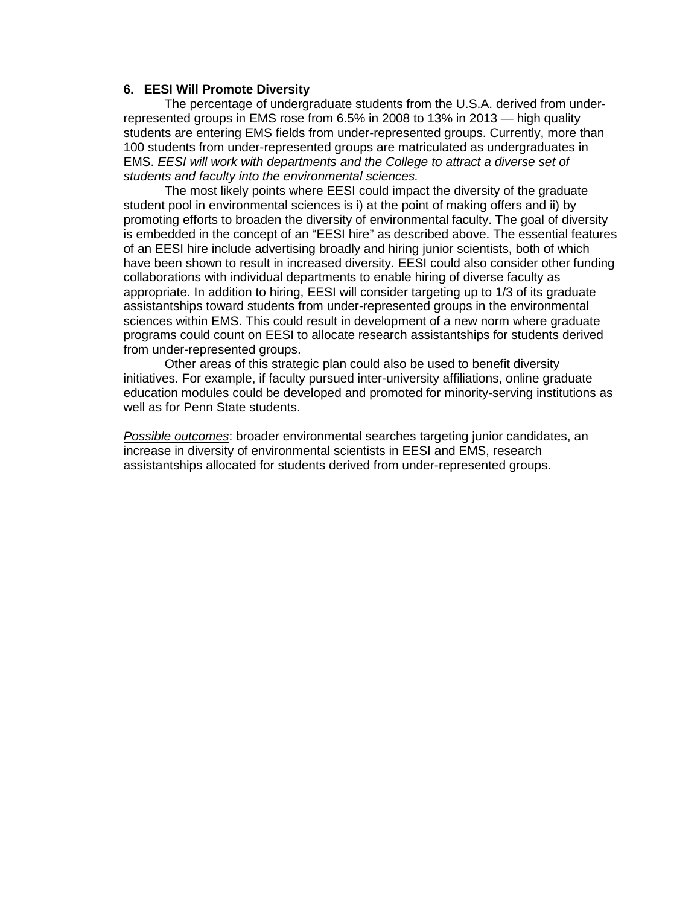### **6. EESI Will Promote Diversity**

The percentage of undergraduate students from the U.S.A. derived from underrepresented groups in EMS rose from 6.5% in 2008 to 13% in 2013 — high quality students are entering EMS fields from under-represented groups. Currently, more than 100 students from under-represented groups are matriculated as undergraduates in EMS. *EESI will work with departments and the College to attract a diverse set of students and faculty into the environmental sciences.*

The most likely points where EESI could impact the diversity of the graduate student pool in environmental sciences is i) at the point of making offers and ii) by promoting efforts to broaden the diversity of environmental faculty. The goal of diversity is embedded in the concept of an "EESI hire" as described above. The essential features of an EESI hire include advertising broadly and hiring junior scientists, both of which have been shown to result in increased diversity. EESI could also consider other funding collaborations with individual departments to enable hiring of diverse faculty as appropriate. In addition to hiring, EESI will consider targeting up to 1/3 of its graduate assistantships toward students from under-represented groups in the environmental sciences within EMS. This could result in development of a new norm where graduate programs could count on EESI to allocate research assistantships for students derived from under-represented groups.

Other areas of this strategic plan could also be used to benefit diversity initiatives. For example, if faculty pursued inter-university affiliations, online graduate education modules could be developed and promoted for minority-serving institutions as well as for Penn State students.

*Possible outcomes*: broader environmental searches targeting junior candidates, an increase in diversity of environmental scientists in EESI and EMS, research assistantships allocated for students derived from under-represented groups.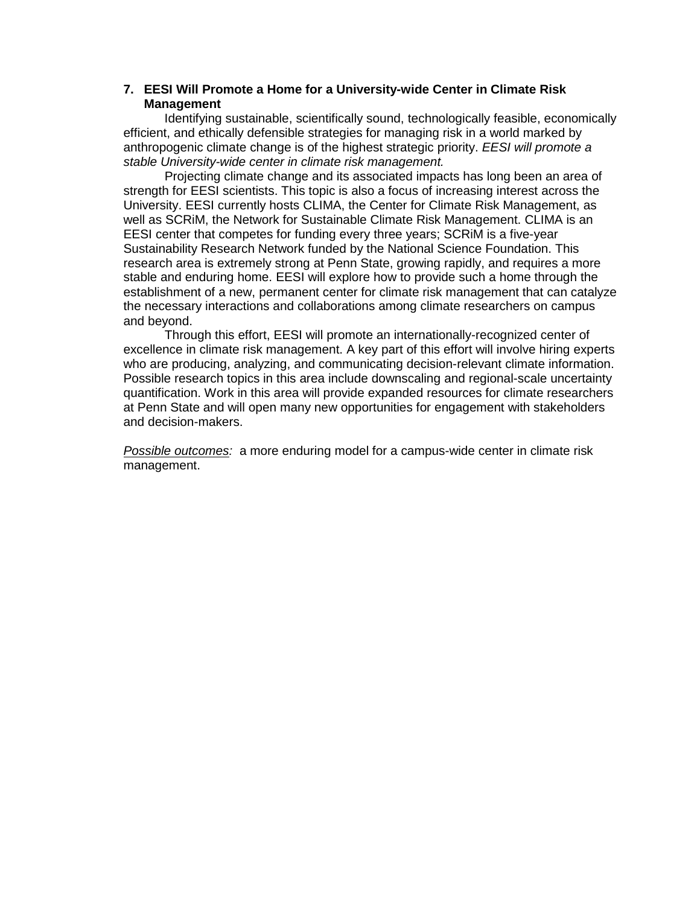# **7. EESI Will Promote a Home for a University-wide Center in Climate Risk Management**

Identifying sustainable, scientifically sound, technologically feasible, economically efficient, and ethically defensible strategies for managing risk in a world marked by anthropogenic climate change is of the highest strategic priority. *EESI will promote a stable University-wide center in climate risk management.*

Projecting climate change and its associated impacts has long been an area of strength for EESI scientists. This topic is also a focus of increasing interest across the University. EESI currently hosts CLIMA, the Center for Climate Risk Management, as well as SCRiM, the Network for Sustainable Climate Risk Management. CLIMA is an EESI center that competes for funding every three years; SCRiM is a five-year Sustainability Research Network funded by the National Science Foundation. This research area is extremely strong at Penn State, growing rapidly, and requires a more stable and enduring home. EESI will explore how to provide such a home through the establishment of a new, permanent center for climate risk management that can catalyze the necessary interactions and collaborations among climate researchers on campus and beyond.

Through this effort, EESI will promote an internationally-recognized center of excellence in climate risk management. A key part of this effort will involve hiring experts who are producing, analyzing, and communicating decision-relevant climate information. Possible research topics in this area include downscaling and regional-scale uncertainty quantification. Work in this area will provide expanded resources for climate researchers at Penn State and will open many new opportunities for engagement with stakeholders and decision-makers.

*Possible outcomes:* a more enduring model for a campus-wide center in climate risk management.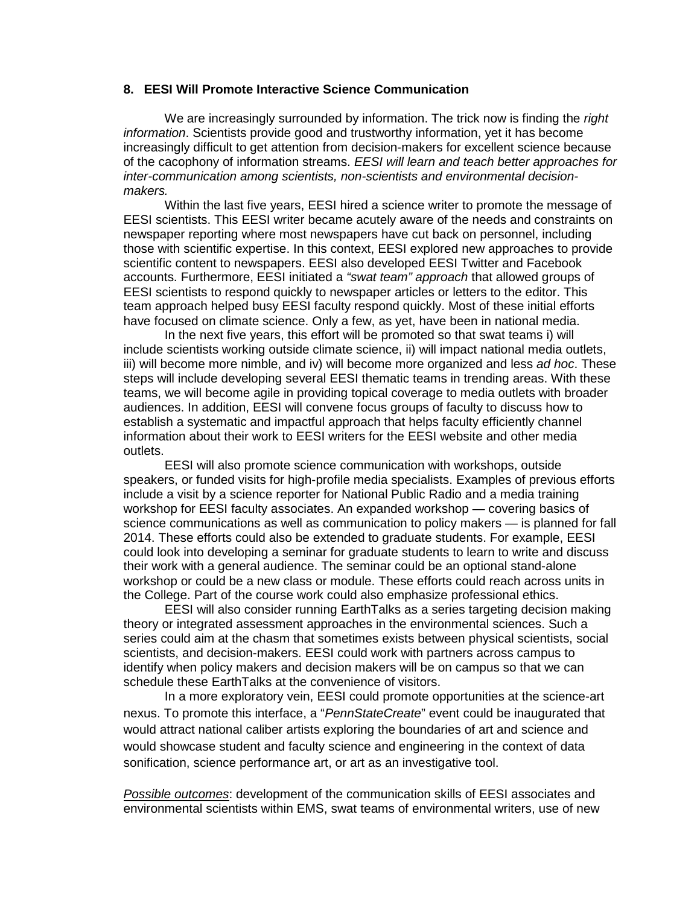## **8. EESI Will Promote Interactive Science Communication**

We are increasingly surrounded by information. The trick now is finding the *right information*. Scientists provide good and trustworthy information, yet it has become increasingly difficult to get attention from decision-makers for excellent science because of the cacophony of information streams. *EESI will learn and teach better approaches for inter-communication among scientists, non-scientists and environmental decisionmakers.*

Within the last five years, EESI hired a science writer to promote the message of EESI scientists. This EESI writer became acutely aware of the needs and constraints on newspaper reporting where most newspapers have cut back on personnel, including those with scientific expertise. In this context, EESI explored new approaches to provide scientific content to newspapers. EESI also developed EESI Twitter and Facebook accounts. Furthermore, EESI initiated a *"swat team" approach* that allowed groups of EESI scientists to respond quickly to newspaper articles or letters to the editor. This team approach helped busy EESI faculty respond quickly. Most of these initial efforts have focused on climate science. Only a few, as yet, have been in national media.

In the next five years, this effort will be promoted so that swat teams i) will include scientists working outside climate science, ii) will impact national media outlets, iii) will become more nimble, and iv) will become more organized and less *ad hoc*. These steps will include developing several EESI thematic teams in trending areas. With these teams, we will become agile in providing topical coverage to media outlets with broader audiences. In addition, EESI will convene focus groups of faculty to discuss how to establish a systematic and impactful approach that helps faculty efficiently channel information about their work to EESI writers for the EESI website and other media outlets.

EESI will also promote science communication with workshops, outside speakers, or funded visits for high-profile media specialists. Examples of previous efforts include a visit by a science reporter for National Public Radio and a media training workshop for EESI faculty associates. An expanded workshop — covering basics of science communications as well as communication to policy makers — is planned for fall 2014. These efforts could also be extended to graduate students. For example, EESI could look into developing a seminar for graduate students to learn to write and discuss their work with a general audience. The seminar could be an optional stand-alone workshop or could be a new class or module. These efforts could reach across units in the College. Part of the course work could also emphasize professional ethics.

EESI will also consider running EarthTalks as a series targeting decision making theory or integrated assessment approaches in the environmental sciences. Such a series could aim at the chasm that sometimes exists between physical scientists, social scientists, and decision-makers. EESI could work with partners across campus to identify when policy makers and decision makers will be on campus so that we can schedule these EarthTalks at the convenience of visitors.

In a more exploratory vein, EESI could promote opportunities at the science-art nexus. To promote this interface, a "*PennStateCreate*" event could be inaugurated that would attract national caliber artists exploring the boundaries of art and science and would showcase student and faculty science and engineering in the context of data sonification, science performance art, or art as an investigative tool.

*Possible outcomes*: development of the communication skills of EESI associates and environmental scientists within EMS, swat teams of environmental writers, use of new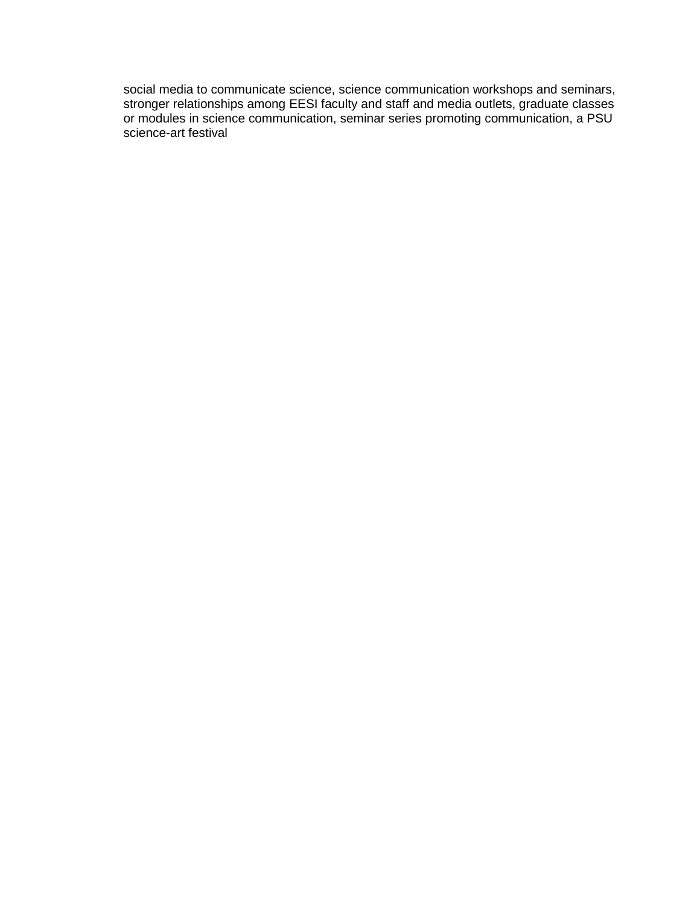social media to communicate science, science communication workshops and seminars, stronger relationships among EESI faculty and staff and media outlets, graduate classes or modules in science communication, seminar series promoting communication, a PSU science-art festival